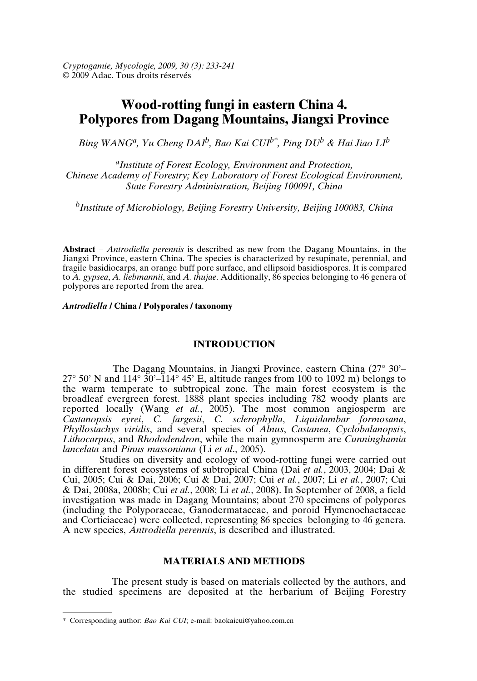*Cryptogamie, Mycologie, 2009, 30 (3): 233-241* © 2009 Adac. Tous droits réservés

# **Wood-rotting fungi in eastern China 4. Polypores from Dagang Mountains, Jiangxi Province**

*Bing WANG<sup>a</sup> , Yu Cheng DAI<sup>b</sup> , Bao Kai CUIb\*, Ping DU<sup>b</sup> & Hai Jiao LI<sup>b</sup>*

*a Institute of Forest Ecology, Environment and Protection, Chinese Academy of Forestry; Key Laboratory of Forest Ecological Environment, State Forestry Administration, Beijing 100091, China*

*b Institute of Microbiology, Beijing Forestry University, Beijing 100083, China*

**Abstract** – *Antrodiella perennis* is described as new from the Dagang Mountains, in the Jiangxi Province, eastern China. The species is characterized by resupinate, perennial, and fragile basidiocarps, an orange buff pore surface, and ellipsoid basidiospores. It is compared to *A. gypsea*, *A. liebmannii*, and *A. thujae*. Additionally, 86 species belonging to 46 genera of polypores are reported from the area.

*Antrodiella* **/ China / Polyporales / taxonomy**

## **INTRODUCTION**

The Dagang Mountains, in Jiangxi Province, eastern China (27° 30'–  $27^{\circ}$  50' N and  $114^{\circ}$  30'– $114^{\circ}$  45' E, altitude ranges from 100 to 1092 m) belongs to the warm temperate to subtropical zone. The main forest ecosystem is the broadleaf evergreen forest. 1888 plant species including 782 woody plants are reported locally (Wang *et al.*, 2005). The most common angiosperm are *Castanopsis eyrei*, *C. fargesii*, *C. sclerophylla*, *Liquidambar formosana*, *Phyllostachys viridis*, and several species of *Alnus*, *Castanea*, *Cyclobalanopsis*, *Lithocarpus*, and *Rhododendron*, while the main gymnosperm are *Cunninghamia lancelata* and *Pinus massoniana* (Li *et al*., 2005).

Studies on diversity and ecology of wood-rotting fungi were carried out in different forest ecosystems of subtropical China (Dai *et al.*, 2003, 2004; Dai & Cui, 2005; Cui & Dai, 2006; Cui & Dai, 2007; Cui *et al.*, 2007; Li *et al.*, 2007; Cui & Dai, 2008a, 2008b; Cui *et al.*, 2008; Li *et al.*, 2008). In September of 2008, a field investigation was made in Dagang Mountains; about 270 specimens of polypores (including the Polyporaceae, Ganodermataceae, and poroid Hymenochaetaceae and Corticiaceae) were collected, representing 86 species belonging to 46 genera. A new species, *Antrodiella perennis*, is described and illustrated.

# **MATERIALS AND METHODS**

The present study is based on materials collected by the authors, and the studied specimens are deposited at the herbarium of Beijing Forestry

<sup>\*</sup> Corresponding author: *Bao Kai CUI*; e-mail: baokaicui@yahoo.com.cn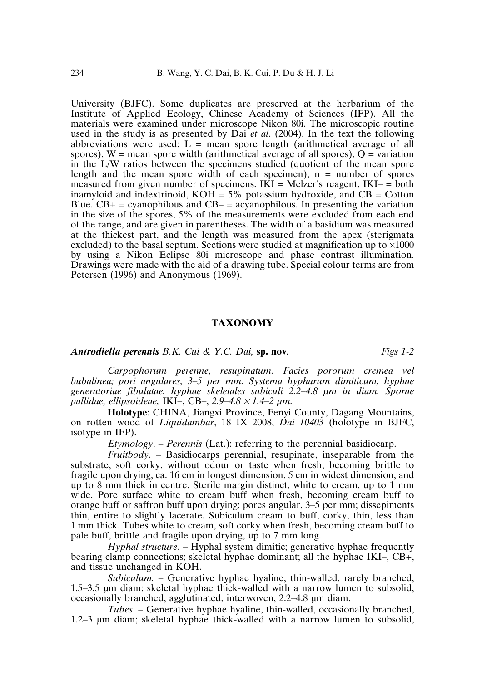University (BJFC). Some duplicates are preserved at the herbarium of the Institute of Applied Ecology, Chinese Academy of Sciences (IFP). All the materials were examined under microscope Nikon 80i. The microscopic routine used in the study is as presented by Dai *et al*. (2004). In the text the following abbreviations were used:  $L = \text{mean}$  spore length (arithmetical average of all spores),  $W =$  mean spore width (arithmetical average of all spores),  $Q =$  variation in the L/W ratios between the specimens studied (quotient of the mean spore length and the mean spore width of each specimen),  $n =$  number of spores measured from given number of specimens.  $IKI = Melzer's$  reagent,  $IKI = both$ inamyloid and indextrinoid,  $KOH = 5\%$  potassium hydroxide, and  $CB = Cotton$ Blue.  $CB+$  = cyanophilous and  $CB-$  = acyanophilous. In presenting the variation in the size of the spores, 5% of the measurements were excluded from each end of the range, and are given in parentheses. The width of a basidium was measured at the thickest part, and the length was measured from the apex (sterigmata excluded) to the basal septum. Sections were studied at magnification up to  $\times 1000$ by using a Nikon Eclipse 80i microscope and phase contrast illumination. Drawings were made with the aid of a drawing tube. Special colour terms are from Petersen (1996) and Anonymous (1969).

#### **TAXONOMY**

#### *Antrodiella perennis B.K. Cui & Y.C. Dai,* **sp. nov***. Figs 1-2*

*Carpophorum perenne, resupinatum. Facies pororum cremea vel bubalinea; pori angulares, 3–5 per mm. Systema hypharum dimiticum, hyphae generatoriae fibulatae, hyphae skeletales subiculi 2.2–4.8 µm in diam. Sporae pallidae, ellipsoideae,* IKI–, CB–, *2.9–4.8* <sup>×</sup> *1.4–2 µm.*

**Holotype**: CHINA, Jiangxi Province, Fenyi County, Dagang Mountains, on rotten wood of *Liquidambar*, 18 IX 2008, *Dai 10403* (holotype in BJFC, isotype in IFP).

*Etymology*. – *Perennis* (Lat.): referring to the perennial basidiocarp.

*Fruitbody*. – Basidiocarps perennial, resupinate, inseparable from the substrate, soft corky, without odour or taste when fresh, becoming brittle to fragile upon drying, ca. 16 cm in longest dimension, 5 cm in widest dimension, and up to 8 mm thick in centre. Sterile margin distinct, white to cream, up to 1 mm wide. Pore surface white to cream buff when fresh, becoming cream buff to orange buff or saffron buff upon drying; pores angular, 3–5 per mm; dissepiments thin, entire to slightly lacerate. Subiculum cream to buff, corky, thin, less than 1 mm thick. Tubes white to cream, soft corky when fresh, becoming cream buff to pale buff, brittle and fragile upon drying, up to 7 mm long.

*Hyphal structure*. – Hyphal system dimitic; generative hyphae frequently bearing clamp connections; skeletal hyphae dominant; all the hyphae IKI–, CB+, and tissue unchanged in KOH.

*Subiculum.* – Generative hyphae hyaline, thin-walled, rarely branched, 1.5–3.5 µm diam; skeletal hyphae thick-walled with a narrow lumen to subsolid, occasionally branched, agglutinated, interwoven, 2.2–4.8 µm diam.

*Tubes*. – Generative hyphae hyaline, thin-walled, occasionally branched, 1.2–3 µm diam; skeletal hyphae thick-walled with a narrow lumen to subsolid,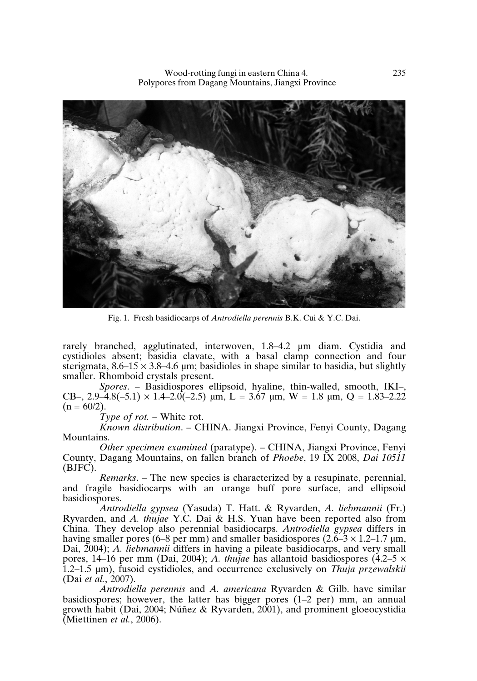Wood-rotting fungi in eastern China 4. 235 Polypores from Dagang Mountains, Jiangxi Province



Fig. 1. Fresh basidiocarps of *Antrodiella perennis* B.K. Cui & Y.C. Dai.

rarely branched, agglutinated, interwoven, 1.8–4.2 µm diam. Cystidia and cystidioles absent; basidia clavate, with a basal clamp connection and four sterigmata,  $8.6-15 \times 3.8-4.6$  µm; basidioles in shape similar to basidia, but slightly smaller. Rhomboid crystals present.

*Spores*. – Basidiospores ellipsoid, hyaline, thin-walled, smooth, IKI–, CB–,  $2.9-4.8(-5.1) \times 1.4-2.0(-2.5)$  um,  $L = 3.67$  um,  $W = 1.8$  um,  $Q = 1.83-2.22$  $(n = 60/2)$ .

*Type of rot.* – White rot.

*Known distribution*. – CHINA. Jiangxi Province, Fenyi County, Dagang Mountains.

*Other specimen examined* (paratype). – CHINA, Jiangxi Province, Fenyi County, Dagang Mountains, on fallen branch of *Phoebe*, 19 IX 2008, *Dai 10511* (BJFC).

*Remarks*. – The new species is characterized by a resupinate, perennial, and fragile basidiocarps with an orange buff pore surface, and ellipsoid basidiospores.

*Antrodiella gypsea* (Yasuda) T. Hatt. & Ryvarden, *A. liebmannii* (Fr.) Ryvarden, and *A. thujae* Y.C. Dai & H.S. Yuan have been reported also from China. They develop also perennial basidiocarps. *Antrodiella gypsea* differs in having smaller pores (6–8 per mm) and smaller basidiospores (2.6–3  $\times$  1.2–1.7 µm, Dai, 2004); *A. liebmannii* differs in having a pileate basidiocarps, and very small pores, 14–16 per mm (Dai, 2004); *A. thujae* has allantoid basidiospores (4.2–5 × 1.2–1.5 µm), fusoid cystidioles, and occurrence exclusively on *Thuja przewalskii* (Dai *et al.*, 2007).

*Antrodiella perennis* and *A. americana* Ryvarden & Gilb. have similar basidiospores; however, the latter has bigger pores (1–2 per) mm, an annual growth habit (Dai, 2004; Núñez & Ryvarden, 2001), and prominent gloeocystidia (Miettinen *et al.*, 2006).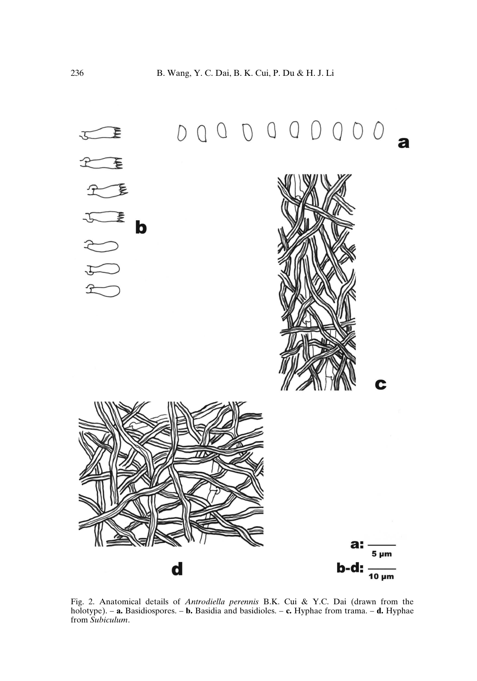

Fig. 2. Anatomical details of *Antrodiella perennis* B.K. Cui & Y.C. Dai (drawn from the holotype). – **a.** Basidiospores. – **b.** Basidia and basidioles. – **c.** Hyphae from trama. – **d.** Hyphae from *Subiculum*.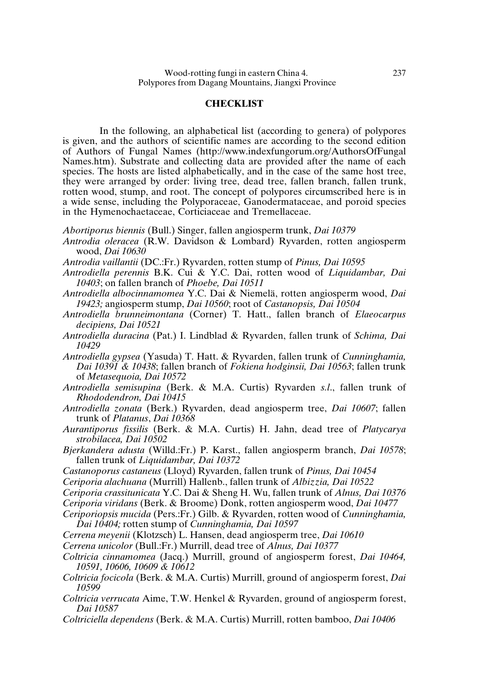# **CHECKLIST**

In the following, an alphabetical list (according to genera) of polypores is given, and the authors of scientific names are according to the second edition of Authors of Fungal Names (http://www.indexfungorum.org/AuthorsOfFungal Names.htm). Substrate and collecting data are provided after the name of each species. The hosts are listed alphabetically, and in the case of the same host tree, they were arranged by order: living tree, dead tree, fallen branch, fallen trunk, rotten wood, stump, and root. The concept of polypores circumscribed here is in a wide sense, including the Polyporaceae, Ganodermataceae, and poroid species in the Hymenochaetaceae, Corticiaceae and Tremellaceae.

- *Abortiporus biennis* (Bull.) Singer, fallen angiosperm trunk, *Dai 10379*
- *Antrodia oleracea* (R.W. Davidson & Lombard) Ryvarden, rotten angiosperm wood, *Dai 10630*
- *Antrodia vaillantii* (DC.:Fr.) Ryvarden, rotten stump of *Pinus, Dai 10595*
- *Antrodiella perennis* B.K. Cui & Y.C. Dai, rotten wood of *Liquidambar, Dai 10403*; on fallen branch of *Phoebe, Dai 10511*
- *Antrodiella albocinnamomea* Y.C. Dai & Niemelä, rotten angiosperm wood, *Dai 19423;* angiosperm stump, *Dai 10560*; root of *Castanopsis, Dai 10504*
- *Antrodiella brunneimontana* (Corner) T. Hatt., fallen branch of *Elaeocarpus decipiens, Dai 10521*
- *Antrodiella duracina* (Pat.) I. Lindblad & Ryvarden, fallen trunk of *Schima, Dai 10429*
- *Antrodiella gypsea* (Yasuda) T. Hatt. & Ryvarden, fallen trunk of *Cunninghamia, Dai 10391 & 10438*; fallen branch of *Fokiena hodginsii, Dai 10563*; fallen trunk of *Metasequoia, Dai 10572*
- *Antrodiella semisupina* (Berk. & M.A. Curtis) Ryvarden *s.l*., fallen trunk of *Rhododendron, Dai 10415*
- *Antrodiella zonata* (Berk.) Ryvarden, dead angiosperm tree, *Dai 10607*; fallen trunk of *Platanus*, *Dai 10368*
- *Aurantiporus fissilis* (Berk. & M.A. Curtis) H. Jahn, dead tree of *Platycarya strobilacea, Dai 10502*
- *Bjerkandera adusta* (Willd.:Fr.) P. Karst., fallen angiosperm branch, *Dai 10578*; fallen trunk of *Liquidambar, Dai 10372*
- *Castanoporus castaneus* (Lloyd) Ryvarden, fallen trunk of *Pinus, Dai 10454*
- *Ceriporia alachuana* (Murrill) Hallenb., fallen trunk of *Albizzia, Dai 10522*
- *Ceriporia crassitunicata* Y.C. Dai & Sheng H. Wu, fallen trunk of *Alnus, Dai 10376*
- *Ceriporia viridans* (Berk. & Broome) Donk, rotten angiosperm wood, *Dai 10477*
- *Ceriporiopsis mucida* (Pers.:Fr.) Gilb. & Ryvarden, rotten wood of *Cunninghamia, Dai 10404;* rotten stump of *Cunninghamia, Dai 10597*
- *Cerrena meyenii* (Klotzsch) L. Hansen, dead angiosperm tree, *Dai 10610*
- *Cerrena unicolor* (Bull.:Fr.) Murrill, dead tree of *Alnus, Dai 10377*
- *Coltricia cinnamomea* (Jacq.) Murrill, ground of angiosperm forest, *Dai 10464, 10591, 10606, 10609 & 10612*
- *Coltricia focicola* (Berk. & M.A. Curtis) Murrill, ground of angiosperm forest, *Dai 10599*
- *Coltricia verrucata* Aime, T.W. Henkel & Ryvarden, ground of angiosperm forest, *Dai 10587*
- *Coltriciella dependens* (Berk. & M.A. Curtis) Murrill, rotten bamboo, *Dai 10406*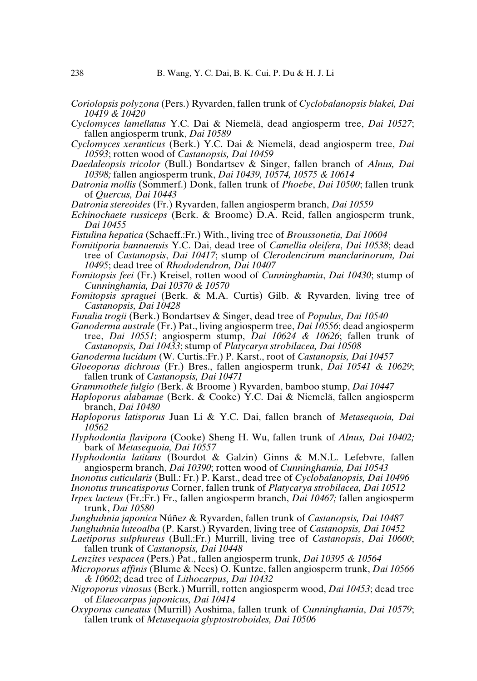- *Coriolopsis polyzona* (Pers.) Ryvarden, fallen trunk of *Cyclobalanopsis blakei, Dai 10419 & 10420*
- *Cyclomyces lamellatus* Y.C. Dai & Niemelä, dead angiosperm tree, *Dai 10527*; fallen angiosperm trunk, *Dai 10589*
- *Cyclomyces xeranticus* (Berk.) Y.C. Dai & Niemelä, dead angiosperm tree, *Dai 10593*; rotten wood of *Castanopsis, Dai 10459*
- *Daedaleopsis tricolor* (Bull.) Bondartsev & Singer, fallen branch of *Alnus, Dai 10398;* fallen angiosperm trunk, *Dai 10439, 10574, 10575 & 10614*
- *Datronia mollis* (Sommerf.) Donk, fallen trunk of *Phoebe*, *Dai 10500*; fallen trunk of *Quercus, Dai 10443*

*Datronia stereoides* (Fr.) Ryvarden, fallen angiosperm branch, *Dai 10559*

- *Echinochaete russiceps* (Berk. & Broome) D.A. Reid, fallen angiosperm trunk, *Dai 10455*
- *Fistulina hepatica* (Schaeff.:Fr.) With., living tree of *Broussonetia, Dai 10604*
- *Fomitiporia bannaensis* Y.C. Dai, dead tree of *Camellia oleifera*, *Dai 10538*; dead tree of *Castanopsis*, *Dai 10417*; stump of *Clerodencirum manclarinorum, Dai 10495*; dead tree of *Rhododendron, Dai 10407*
- *Fomitopsis feei* (Fr.) Kreisel, rotten wood of *Cunninghamia*, *Dai 10430*; stump of *Cunninghamia, Dai 10370 & 10570*
- *Fomitopsis spraguei* (Berk. & M.A. Curtis) Gilb. & Ryvarden, living tree of *Castanopsis, Dai 10428*
- *Funalia trogii* (Berk.) Bondartsev & Singer, dead tree of *Populus, Dai 10540*
- *Ganoderma australe* (Fr.) Pat., living angiosperm tree, *Dai 10556*; dead angiosperm tree, *Dai 10551*; angiosperm stump, *Dai 10624 & 10626*; fallen trunk of *Castanopsis, Dai 10433*; stump of *Platycarya strobilacea, Dai 10508*
- *Ganoderma lucidum* (W. Curtis.:Fr.) P. Karst., root of *Castanopsis, Dai 10457*
- *Gloeoporus dichrous* (Fr.) Bres., fallen angiosperm trunk, *Dai 10541 & 10629*; fallen trunk of *Castanopsis, Dai 10471*
- *Grammothele fulgio (*Berk. & Broome ) Ryvarden, bamboo stump, *Dai 10447*
- *Haploporus alabamae* (Berk. & Cooke) Y.C. Dai & Niemelä, fallen angiosperm branch, *Dai 10480*
- *Haploporus latisporus* Juan Li & Y.C. Dai, fallen branch of *Metasequoia, Dai 10562*
- *Hyphodontia flavipora* (Cooke) Sheng H. Wu, fallen trunk of *Alnus, Dai 10402;* bark of *Metasequoia, Dai 10557*
- *Hyphodontia latitans* (Bourdot & Galzin) Ginns & M.N.L. Lefebvre, fallen angiosperm branch, *Dai 10390*; rotten wood of *Cunninghamia, Dai 10543*
- *Inonotus cuticularis* (Bull.: Fr.) P. Karst., dead tree of *Cyclobalanopsis, Dai 10496*

*Inonotus truncatisporus* Corner, fallen trunk of *Platycarya strobilacea, Dai 10512*

- *Irpex lacteus* (Fr.:Fr.) Fr., fallen angiosperm branch, *Dai 10467;* fallen angiosperm trunk, *Dai 10580*
- *Junghuhnia japonica* Núñez & Ryvarden, fallen trunk of *Castanopsis, Dai 10487 Junghuhnia luteoalba* (P. Karst.) Ryvarden, living tree of *Castanopsis, Dai 10452*
- *Laetiporus sulphureus* (Bull.:Fr.) Murrill, living tree of *Castanopsis*, *Dai 10600*; fallen trunk of *Castanopsis, Dai 10448*
- *Lenzites vespacea* (Pers.) Pat., fallen angiosperm trunk, *Dai 10395 & 10564*
- *Microporus affinis* (Blume & Nees) O. Kuntze, fallen angiosperm trunk, *Dai 10566 & 10602*; dead tree of *Lithocarpus, Dai 10432*
- *Nigroporus vinosus* (Berk.) Murrill, rotten angiosperm wood, *Dai 10453*; dead tree of *Elaeocarpus japonicus, Dai 10414*
- *Oxyporus cuneatus* (Murrill) Aoshima, fallen trunk of *Cunninghamia*, *Dai 10579*; fallen trunk of *Metasequoia glyptostroboides, Dai 10506*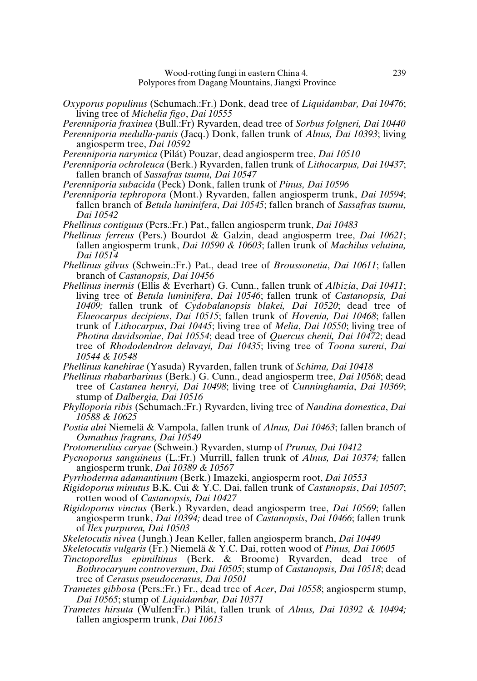- *Oxyporus populinus* (Schumach.:Fr.) Donk, dead tree of *Liquidambar, Dai 10476*; living tree of *Michelia figo*, *Dai 10555*
- *Perenniporia fraxinea* (Bull.:Fr) Ryvarden, dead tree of *Sorbus folgneri, Dai 10440*
- *Perenniporia medulla-panis* (Jacq.) Donk, fallen trunk of *Alnus, Dai 10393*; living angiosperm tree, *Dai 10592*
- *Perenniporia narymica* (Pilát) Pouzar, dead angiosperm tree, *Dai 10510*
- *Perenniporia ochroleuca* (Berk.) Ryvarden, fallen trunk of *Lithocarpus, Dai 10437*; fallen branch of *Sassafras tsumu, Dai 10547*
- *Perenniporia subacida* (Peck) Donk, fallen trunk of *Pinus, Dai 10596*
- *Perenniporia tephropora* (Mont.) Ryvarden, fallen angiosperm trunk, *Dai 10594*; fallen branch of *Betula luminifera*, *Dai 10545*; fallen branch of *Sassafras tsumu, Dai 10542*
- *Phellinus contiguus* (Pers.:Fr.) Pat., fallen angiosperm trunk, *Dai 10483*
- *Phellinus ferreus* (Pers.) Bourdot & Galzin, dead angiosperm tree, *Dai 10621*; fallen angiosperm trunk, *Dai 10590 & 10603*; fallen trunk of *Machilus velutina, Dai 10514*
- *Phellinus gilvus* (Schwein.:Fr.) Pat., dead tree of *Broussonetia*, *Dai 10611*; fallen branch of *Castanopsis, Dai 10456*
- *Phellinus inermis* (Ellis & Everhart) G. Cunn., fallen trunk of *Albizia*, *Dai 10411*; living tree of *Betula luminifera*, *Dai 10546*; fallen trunk of *Castanopsis, Dai 10409;* fallen trunk of *Cydobalanopsis blakei, Dai 10520*; dead tree of *Elaeocarpus decipiens*, *Dai 10515*; fallen trunk of *Hovenia, Dai 10468*; fallen trunk of *Lithocarpus*, *Dai 10445*; living tree of *Melia*, *Dai 10550*; living tree of *Photina davidsoniae*, *Dai 10554*; dead tree of *Quercus chenii, Dai 10472*; dead tree of *Rhododendron delavayi, Dai 10435*; living tree of *Toona sureni*, *Dai 10544 & 10548*
- *Phellinus kanehirae* (Yasuda) Ryvarden, fallen trunk of *Schima, Dai 10418*
- *Phellinus rhabarbarinus* (Berk.) G. Cunn., dead angiosperm tree, *Dai 10568*; dead tree of *Castanea henryi, Dai 10498*; living tree of *Cunninghamia*, *Dai 10369*; stump of *Dalbergia, Dai 10516*
- *Phylloporia ribis* (Schumach.:Fr.) Ryvarden, living tree of *Nandina domestica*, *Dai 10588 & 10625*
- *Postia alni* Niemelä & Vampola, fallen trunk of *Alnus, Dai 10463*; fallen branch of *Osmathus fragrans, Dai 10549*
- *Protomerulius caryae* (Schwein.) Ryvarden, stump of *Prunus, Dai 10412*
- *Pycnoporus sanguineus* (L.:Fr.) Murrill, fallen trunk of *Alnus, Dai 10374;* fallen angiosperm trunk, *Dai 10389 & 10567*
- *Pyrrhoderma adamantinum* (Berk.) Imazeki, angiosperm root, *Dai 10553*
- *Rigidoporus minutus* B.K. Cui & Y.C. Dai, fallen trunk of *Castanopsis*, *Dai 10507*; rotten wood of *Castanopsis, Dai 10427*
- *Rigidoporus vinctus* (Berk.) Ryvarden, dead angiosperm tree, *Dai 10569*; fallen angiosperm trunk, *Dai 10394;* dead tree of *Castanopsis*, *Dai 10466*; fallen trunk of *Ilex purpurea, Dai 10503*
- *Skeletocutis nivea* (Jungh.) Jean Keller, fallen angiosperm branch, *Dai 10449*

*Skeletocutis vulgaris* (Fr.) Niemelä & Y.C. Dai, rotten wood of *Pinus, Dai 10605*

- *Tinctoporellus epimiltinus* (Berk. & Broome) Ryvarden, dead tree of *Bothrocaryum controversum*, *Dai 10505*; stump of *Castanopsis, Dai 10518*; dead tree of *Cerasus pseudocerasus, Dai 10501*
- *Trametes gibbosa* (Pers.:Fr.) Fr., dead tree of *Acer*, *Dai 10558*; angiosperm stump, *Dai 10565*; stump of *Liquidambar, Dai 10371*
- *Trametes hirsuta* (Wulfen:Fr.) Pilát, fallen trunk of *Alnus, Dai 10392 & 10494;* fallen angiosperm trunk, *Dai 10613*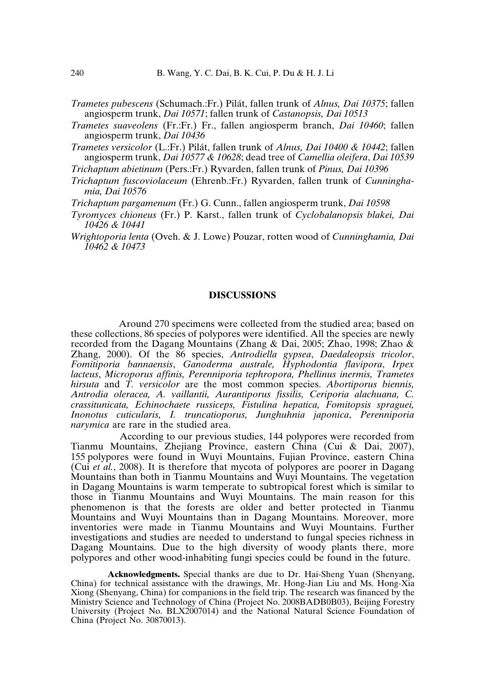- *Trametes pubescens* (Schumach.:Fr.) Pilát, fallen trunk of *Alnus, Dai 10375*; fallen angiosperm trunk, *Dai 10571*; fallen trunk of *Castanopsis, Dai 10513*
- *Trametes suaveolens* (Fr.:Fr.) Fr., fallen angiosperm branch, *Dai 10460*; fallen angiosperm trunk, *Dai 10436*
- *Trametes versicolor* (L.:Fr.) Pilát, fallen trunk of *Alnus, Dai 10400 & 10442*; fallen angiosperm trunk, *Dai 10577 & 10628*; dead tree of *Camellia oleifera*, *Dai 10539*
- *Trichaptum abietinum* (Pers.:Fr.) Ryvarden, fallen trunk of *Pinus, Dai 10396*
- *Trichaptum fuscoviolaceum* (Ehrenb.:Fr.) Ryvarden, fallen trunk of *Cunninghamia, Dai 10576*
- *Trichaptum pargamenum* (Fr.) G. Cunn., fallen angiosperm trunk, *Dai 10598*
- *Tyromyces chioneus* (Fr.) P. Karst., fallen trunk of *Cyclobalanopsis blakei, Dai 10426 & 10441*
- *Wrightoporia lenta* (Oveh. & J. Lowe) Pouzar, rotten wood of *Cunninghamia, Dai 10462 & 10473*

### **DISCUSSIONS**

Around 270 specimens were collected from the studied area; based on these collections, 86 species of polypores were identified. All the species are newly recorded from the Dagang Mountains (Zhang & Dai, 2005; Zhao, 1998; Zhao & Zhang, 2000). Of the 86 species, *Antrodiella gypsea*, *Daedaleopsis tricolor*, *Fomitiporia bannaensis*, *Ganoderma australe, Hyphodontia flavipora*, *Irpex lacteus*, *Microporus affinis, Perenniporia tephropora, Phellinus inermis, Trametes hirsuta* and *T. versicolor* are the most common species. *Abortiporus biennis, Antrodia oleracea, A. vaillantii, Aurantiporus fissilis, Ceriporia alachuana, C. crassitunicata, Echinochaete russiceps, Fistulina hepatica, Fomitopsis spraguei, Inonotus cuticularis, I. truncatioporus, Junghuhnia japonica*, *Perenniporia narymica* are rare in the studied area.

According to our previous studies, 144 polypores were recorded from Tianmu Mountains, Zhejiang Province, eastern China (Cui & Dai, 2007), 155 polypores were found in Wuyi Mountains, Fujian Province, eastern China (Cui *et al.*, 2008). It is therefore that mycota of polypores are poorer in Dagang Mountains than both in Tianmu Mountains and Wuyi Mountains. The vegetation in Dagang Mountains is warm temperate to subtropical forest which is similar to those in Tianmu Mountains and Wuyi Mountains. The main reason for this phenomenon is that the forests are older and better protected in Tianmu Mountains and Wuyi Mountains than in Dagang Mountains. Moreover, more inventories were made in Tianmu Mountains and Wuyi Mountains. Further investigations and studies are needed to understand to fungal species richness in Dagang Mountains. Due to the high diversity of woody plants there, more polypores and other wood-inhabiting fungi species could be found in the future.

**Acknowledgments.** Special thanks are due to Dr. Hai-Sheng Yuan (Shenyang, China) for technical assistance with the drawings, Mr. Hong-Jian Liu and Ms. Hong-Xia Xiong (Shenyang, China) for companions in the field trip. The research was financed by the Ministry Science and Technology of China (Project No. 2008BADB0B03), Beijing Forestry University (Project No. BLX2007014) and the National Natural Science Foundation of China (Project No. 30870013).